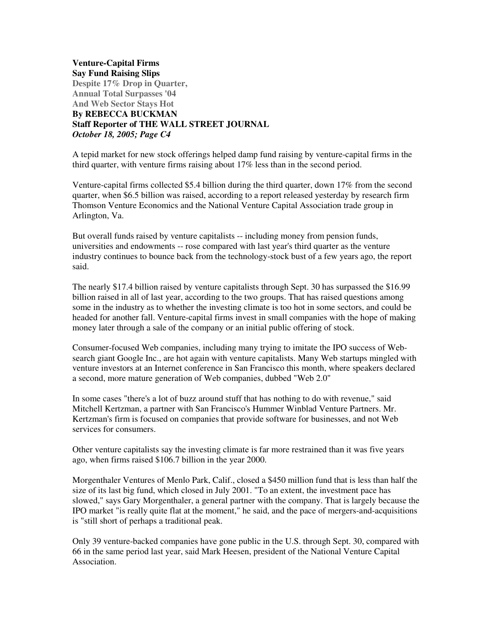**Venture-Capital Firms Say Fund Raising Slips Despite 17% Drop in Quarter, Annual Total Surpasses '04 And Web Sector Stays Hot By REBECCA BUCKMAN Staff Reporter of THE WALL STREET JOURNAL** *October 18, 2005; Page C4*

A tepid market for new stock offerings helped damp fund raising by venture-capital firms in the third quarter, with venture firms raising about 17% less than in the second period.

Venture-capital firms collected \$5.4 billion during the third quarter, down 17% from the second quarter, when \$6.5 billion was raised, according to a report released yesterday by research firm Thomson Venture Economics and the National Venture Capital Association trade group in Arlington, Va.

But overall funds raised by venture capitalists -- including money from pension funds, universities and endowments -- rose compared with last year's third quarter as the venture industry continues to bounce back from the technology-stock bust of a few years ago, the report said.

The nearly \$17.4 billion raised by venture capitalists through Sept. 30 has surpassed the \$16.99 billion raised in all of last year, according to the two groups. That has raised questions among some in the industry as to whether the investing climate is too hot in some sectors, and could be headed for another fall. Venture-capital firms invest in small companies with the hope of making money later through a sale of the company or an initial public offering of stock.

Consumer-focused Web companies, including many trying to imitate the IPO success of Websearch giant Google Inc., are hot again with venture capitalists. Many Web startups mingled with venture investors at an Internet conference in San Francisco this month, where speakers declared a second, more mature generation of Web companies, dubbed "Web 2.0"

In some cases "there's a lot of buzz around stuff that has nothing to do with revenue," said Mitchell Kertzman, a partner with San Francisco's Hummer Winblad Venture Partners. Mr. Kertzman's firm is focused on companies that provide software for businesses, and not Web services for consumers.

Other venture capitalists say the investing climate is far more restrained than it was five years ago, when firms raised \$106.7 billion in the year 2000.

Morgenthaler Ventures of Menlo Park, Calif., closed a \$450 million fund that is less than half the size of its last big fund, which closed in July 2001. "To an extent, the investment pace has slowed," says Gary Morgenthaler, a general partner with the company. That is largely because the IPO market "is really quite flat at the moment," he said, and the pace of mergers-and-acquisitions is "still short of perhaps a traditional peak.

Only 39 venture-backed companies have gone public in the U.S. through Sept. 30, compared with 66 in the same period last year, said Mark Heesen, president of the National Venture Capital Association.